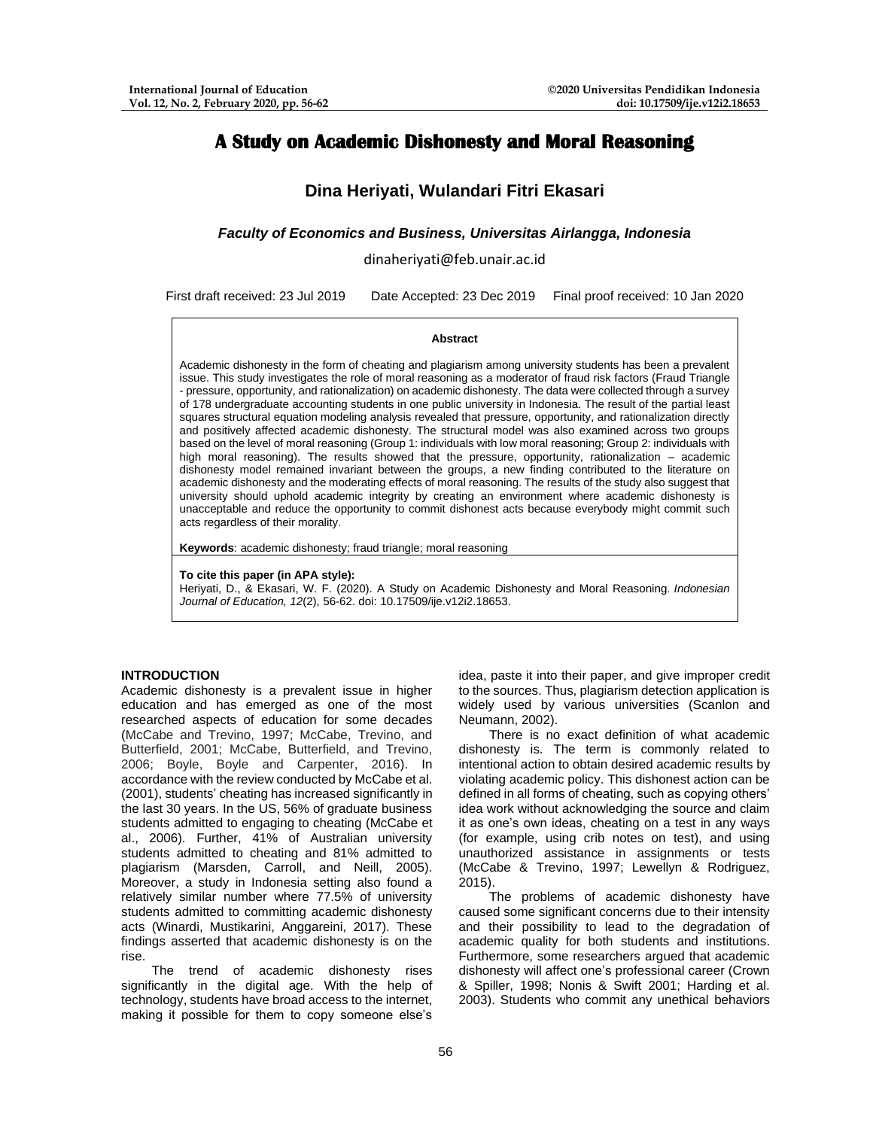# **A Study on Academic Dishonesty and Moral Reasoning**

# **Dina Heriyati, Wulandari Fitri Ekasari**

*Faculty of Economics and Business, Universitas Airlangga, Indonesia*

dinaheriyati@feb.unair.ac.id

First draft received: 23 Jul 2019 Date Accepted: 23 Dec 2019 Final proof received: 10 Jan 2020

### **Abstract**

Academic dishonesty in the form of cheating and plagiarism among university students has been a prevalent issue. This study investigates the role of moral reasoning as a moderator of fraud risk factors (Fraud Triangle - pressure, opportunity, and rationalization) on academic dishonesty. The data were collected through a survey of 178 undergraduate accounting students in one public university in Indonesia. The result of the partial least squares structural equation modeling analysis revealed that pressure, opportunity, and rationalization directly and positively affected academic dishonesty. The structural model was also examined across two groups based on the level of moral reasoning (Group 1: individuals with low moral reasoning; Group 2: individuals with high moral reasoning). The results showed that the pressure, opportunity, rationalization – academic dishonesty model remained invariant between the groups, a new finding contributed to the literature on academic dishonesty and the moderating effects of moral reasoning. The results of the study also suggest that university should uphold academic integrity by creating an environment where academic dishonesty is unacceptable and reduce the opportunity to commit dishonest acts because everybody might commit such acts regardless of their morality.

**Keywords**: academic dishonesty; fraud triangle; moral reasoning

**To cite this paper (in APA style):**

Heriyati, D., & Ekasari, W. F. (2020). A Study on Academic Dishonesty and Moral Reasoning. *Indonesian Journal of Education, 12*(2), 56-62. doi: 10.17509/ije.v12i2.18653.

#### **INTRODUCTION**

Academic dishonesty is a prevalent issue in higher education and has emerged as one of the most researched aspects of education for some decades (McCabe and Trevino, 1997; McCabe, Trevino, and Butterfield, 2001; McCabe, Butterfield, and Trevino, 2006; Boyle, Boyle and Carpenter, 2016). In accordance with the review conducted by McCabe et al. (2001), students' cheating has increased significantly in the last 30 years. In the US, 56% of graduate business students admitted to engaging to cheating (McCabe et al., 2006). Further, 41% of Australian university students admitted to cheating and 81% admitted to plagiarism (Marsden, Carroll, and Neill, 2005). Moreover, a study in Indonesia setting also found a relatively similar number where 77.5% of university students admitted to committing academic dishonesty acts (Winardi, Mustikarini, Anggareini, 2017). These findings asserted that academic dishonesty is on the rise.

The trend of academic dishonesty rises significantly in the digital age. With the help of technology, students have broad access to the internet, making it possible for them to copy someone else's

idea, paste it into their paper, and give improper credit to the sources. Thus, plagiarism detection application is widely used by various universities (Scanlon and Neumann, 2002).

There is no exact definition of what academic dishonesty is. The term is commonly related to intentional action to obtain desired academic results by violating academic policy. This dishonest action can be defined in all forms of cheating, such as copying others' idea work without acknowledging the source and claim it as one's own ideas, cheating on a test in any ways (for example, using crib notes on test), and using unauthorized assistance in assignments or tests (McCabe & Trevino, 1997; Lewellyn & Rodriguez,  $2015$ ).

The problems of academic dishonesty have caused some significant concerns due to their intensity and their possibility to lead to the degradation of academic quality for both students and institutions. Furthermore, some researchers argued that academic dishonesty will affect one's professional career (Crown & Spiller, 1998; Nonis & Swift 2001; Harding et al. 2003). Students who commit any unethical behaviors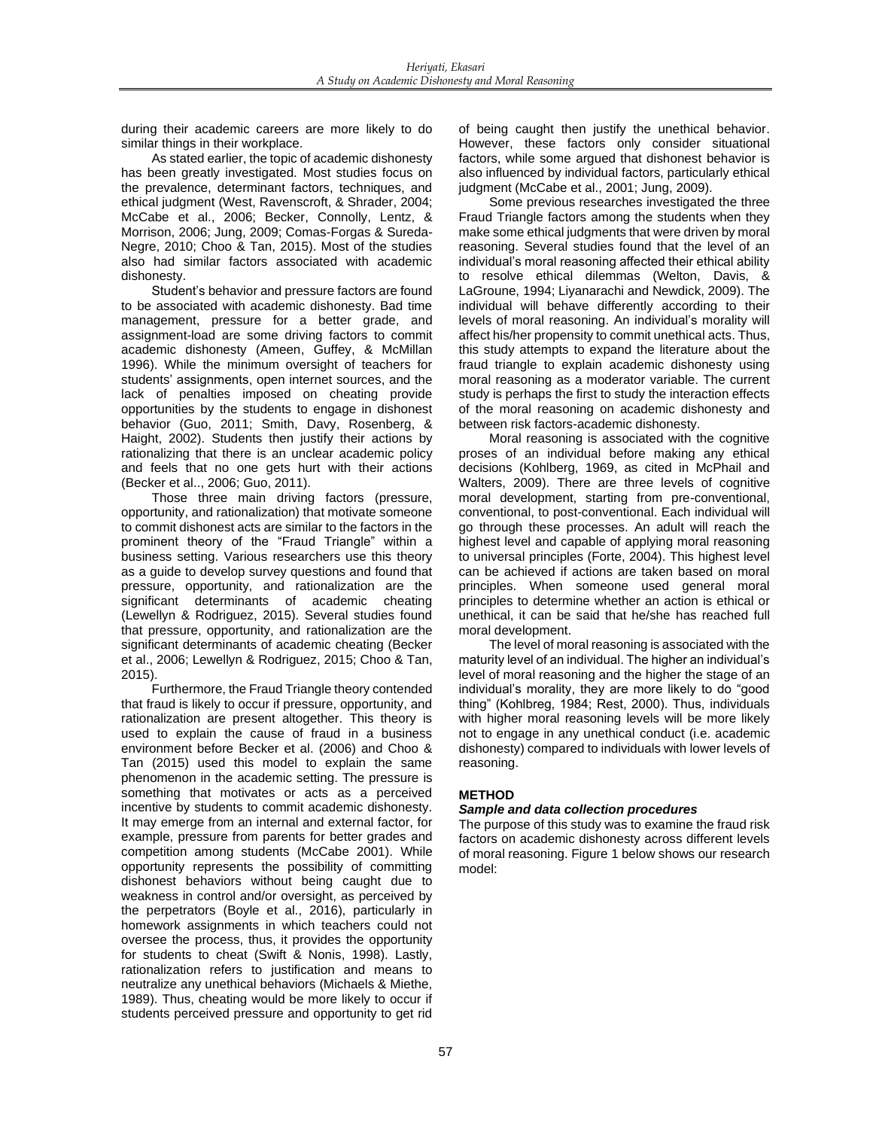during their academic careers are more likely to do similar things in their workplace.

As stated earlier, the topic of academic dishonesty has been greatly investigated. Most studies focus on the prevalence, determinant factors, techniques, and ethical judgment (West, Ravenscroft, & Shrader, 2004; McCabe et al., 2006; Becker, Connolly, Lentz, & Morrison, 2006; Jung, 2009; Comas-Forgas & Sureda-Negre, 2010; Choo & Tan, 2015). Most of the studies also had similar factors associated with academic dishonesty.

Student's behavior and pressure factors are found to be associated with academic dishonesty. Bad time management, pressure for a better grade, and assignment-load are some driving factors to commit academic dishonesty (Ameen, Guffey, & McMillan 1996). While the minimum oversight of teachers for students' assignments, open internet sources, and the lack of penalties imposed on cheating provide opportunities by the students to engage in dishonest behavior (Guo, 2011; Smith, Davy, Rosenberg, & Haight, 2002). Students then justify their actions by rationalizing that there is an unclear academic policy and feels that no one gets hurt with their actions (Becker et al.., 2006; Guo, 2011).

Those three main driving factors (pressure, opportunity, and rationalization) that motivate someone to commit dishonest acts are similar to the factors in the prominent theory of the "Fraud Triangle" within a business setting. Various researchers use this theory as a guide to develop survey questions and found that pressure, opportunity, and rationalization are the significant determinants of academic cheating (Lewellyn & Rodriguez, 2015). Several studies found that pressure, opportunity, and rationalization are the significant determinants of academic cheating (Becker et al., 2006; Lewellyn & Rodriguez, 2015; Choo & Tan, 2015).

Furthermore, the Fraud Triangle theory contended that fraud is likely to occur if pressure, opportunity, and rationalization are present altogether. This theory is used to explain the cause of fraud in a business environment before Becker et al. (2006) and Choo & Tan (2015) used this model to explain the same phenomenon in the academic setting. The pressure is something that motivates or acts as a perceived incentive by students to commit academic dishonesty. It may emerge from an internal and external factor, for example, pressure from parents for better grades and competition among students (McCabe 2001). While opportunity represents the possibility of committing dishonest behaviors without being caught due to weakness in control and/or oversight, as perceived by the perpetrators (Boyle et al., 2016), particularly in homework assignments in which teachers could not oversee the process, thus, it provides the opportunity for students to cheat (Swift & Nonis, 1998). Lastly, rationalization refers to justification and means to neutralize any unethical behaviors (Michaels & Miethe, 1989). Thus, cheating would be more likely to occur if students perceived pressure and opportunity to get rid

of being caught then justify the unethical behavior. However, these factors only consider situational factors, while some argued that dishonest behavior is also influenced by individual factors, particularly ethical judgment (McCabe et al., 2001; Jung, 2009).

Some previous researches investigated the three Fraud Triangle factors among the students when they make some ethical judgments that were driven by moral reasoning. Several studies found that the level of an individual's moral reasoning affected their ethical ability to resolve ethical dilemmas (Welton, Davis, & LaGroune, 1994; Liyanarachi and Newdick, 2009). The individual will behave differently according to their levels of moral reasoning. An individual's morality will affect his/her propensity to commit unethical acts. Thus, this study attempts to expand the literature about the fraud triangle to explain academic dishonesty using moral reasoning as a moderator variable. The current study is perhaps the first to study the interaction effects of the moral reasoning on academic dishonesty and between risk factors-academic dishonesty.

Moral reasoning is associated with the cognitive proses of an individual before making any ethical decisions (Kohlberg, 1969, as cited in McPhail and Walters, 2009). There are three levels of cognitive moral development, starting from pre-conventional, conventional, to post-conventional. Each individual will go through these processes. An adult will reach the highest level and capable of applying moral reasoning to universal principles (Forte, 2004). This highest level can be achieved if actions are taken based on moral principles. When someone used general moral principles to determine whether an action is ethical or unethical, it can be said that he/she has reached full moral development.

The level of moral reasoning is associated with the maturity level of an individual. The higher an individual's level of moral reasoning and the higher the stage of an individual's morality, they are more likely to do "good thing" (Kohlbreg, 1984; Rest, 2000). Thus, individuals with higher moral reasoning levels will be more likely not to engage in any unethical conduct (i.e. academic dishonesty) compared to individuals with lower levels of reasoning.

# **METHOD**

# *Sample and data collection procedures*

The purpose of this study was to examine the fraud risk factors on academic dishonesty across different levels of moral reasoning. Figure 1 below shows our research model: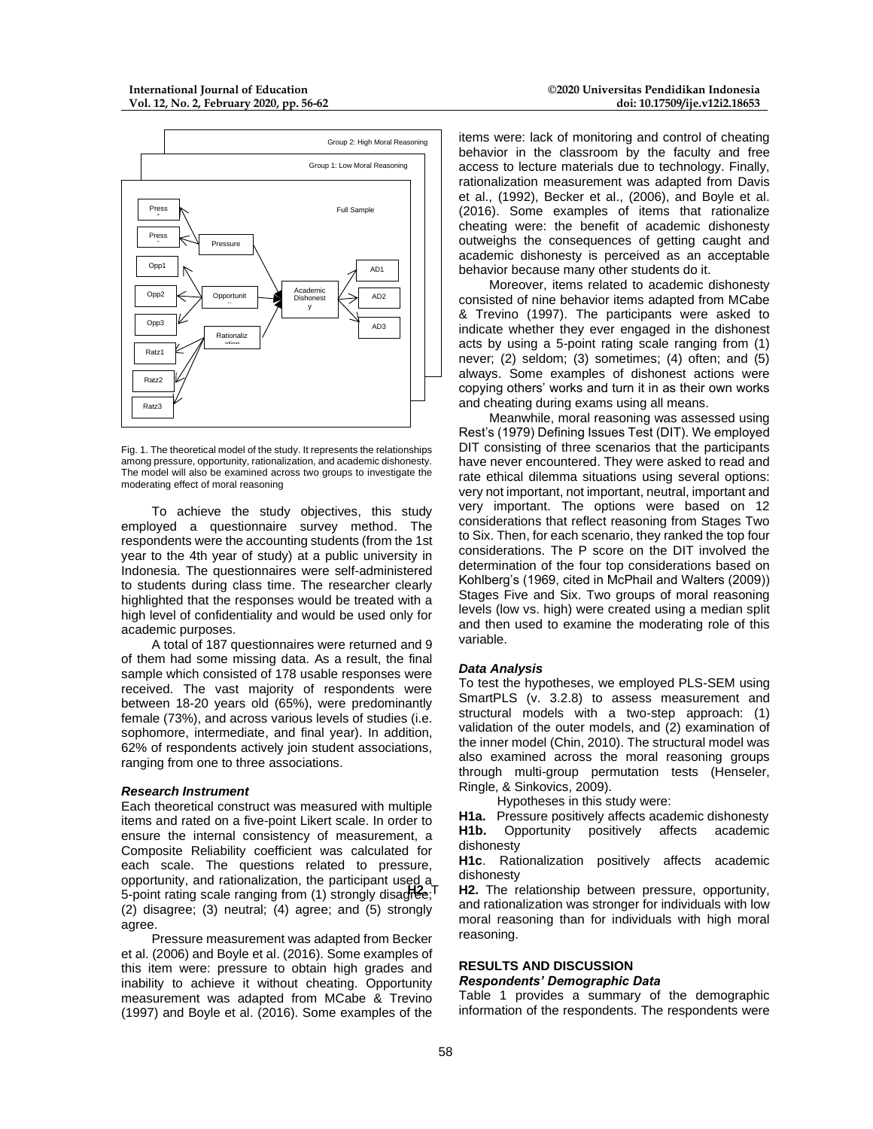

Fig. 1. The theoretical model of the study. It represents the relationships among pressure, opportunity, rationalization, and academic dishonesty. The model will also be examined across two groups to investigate the moderating effect of moral reasoning

To achieve the study objectives, this study employed a questionnaire survey method. The respondents were the accounting students (from the 1st year to the 4th year of study) at a public university in Indonesia. The questionnaires were self-administered to students during class time. The researcher clearly highlighted that the responses would be treated with a high level of confidentiality and would be used only for academic purposes.

A total of 187 questionnaires were returned and 9 of them had some missing data. As a result, the final sample which consisted of 178 usable responses were received. The vast majority of respondents were between 18-20 years old (65%), were predominantly female (73%), and across various levels of studies (i.e. sophomore, intermediate, and final year). In addition, 62% of respondents actively join student associations, ranging from one to three associations.

#### *Research Instrument*

Each theoretical construct was measured with multiple items and rated on a five-point Likert scale. In order to ensure the internal consistency of measurement, a Composite Reliability coefficient was calculated for each scale. The questions related to pressure, opportunity, and rationalization, the participant used a 5-point rating scale ranging from (1) strongly disagree; (2) disagree; (3) neutral; (4) agree; and (5) strongly agree.

Pressure measurement was adapted from Becker et al. (2006) and Boyle et al. (2016). Some examples of this item were: pressure to obtain high grades and inability to achieve it without cheating. Opportunity measurement was adapted from MCabe & Trevino (1997) and Boyle et al. (2016). Some examples of the

items were: lack of monitoring and control of cheating behavior in the classroom by the faculty and free access to lecture materials due to technology. Finally, rationalization measurement was adapted from Davis et al., (1992), Becker et al., (2006), and Boyle et al. (2016). Some examples of items that rationalize cheating were: the benefit of academic dishonesty outweighs the consequences of getting caught and academic dishonesty is perceived as an acceptable behavior because many other students do it.

Moreover, items related to academic dishonesty consisted of nine behavior items adapted from MCabe & Trevino (1997). The participants were asked to indicate whether they ever engaged in the dishonest acts by using a 5-point rating scale ranging from (1) never; (2) seldom; (3) sometimes; (4) often; and (5) always. Some examples of dishonest actions were copying others' works and turn it in as their own works and cheating during exams using all means.

Meanwhile, moral reasoning was assessed using Rest's (1979) Defining Issues Test (DIT). We employed DIT consisting of three scenarios that the participants have never encountered. They were asked to read and rate ethical dilemma situations using several options: very not important, not important, neutral, important and very important. The options were based on 12 considerations that reflect reasoning from Stages Two to Six. Then, for each scenario, they ranked the top four considerations. The P score on the DIT involved the determination of the four top considerations based on Kohlberg's (1969, cited in McPhail and Walters (2009)) Stages Five and Six. Two groups of moral reasoning levels (low vs. high) were created using a median split and then used to examine the moderating role of this variable.

## *Data Analysis*

To test the hypotheses, we employed PLS-SEM using SmartPLS (v. 3.2.8) to assess measurement and structural models with a two-step approach: (1) validation of the outer models, and (2) examination of the inner model (Chin, 2010). The structural model was also examined across the moral reasoning groups through multi-group permutation tests (Henseler, Ringle, & Sinkovics, 2009).

Hypotheses in this study were:

**H1a.** Pressure positively affects academic dishonesty **H1b.** Opportunity positively affects academic dishonesty

**H1c**. Rationalization positively affects academic dishonesty

**H2.** The relationship between pressure, opportunity, and rationalization was stronger for individuals with low moral reasoning than for individuals with high moral reasoning.

## **RESULTS AND DISCUSSION** *Respondents' Demographic Data*

Table 1 provides a summary of the demographic information of the respondents. The respondents were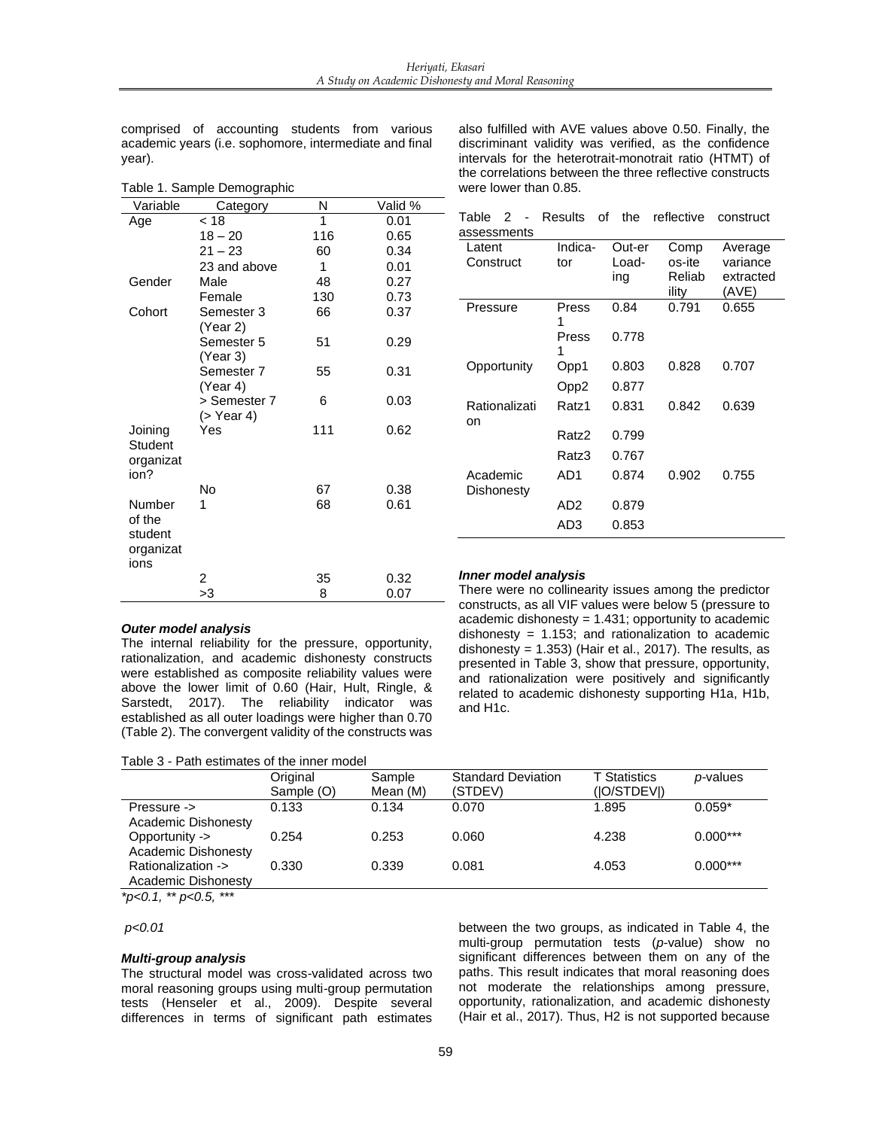comprised of accounting students from various academic years (i.e. sophomore, intermediate and final year).

| Variable                                         | Category                   | N   | Valid % |
|--------------------------------------------------|----------------------------|-----|---------|
| Age                                              | < 18                       | 1   | 0.01    |
|                                                  | $18 - 20$                  | 116 | 0.65    |
|                                                  | $21 - 23$                  | 60  | 0.34    |
|                                                  | 23 and above               | 1   | 0.01    |
| Gender                                           | Male                       | 48  | 0.27    |
|                                                  | Female                     | 130 | 0.73    |
| Cohort                                           | Semester 3<br>(Year 2)     | 66  | 0.37    |
|                                                  | Semester 5<br>(Year 3)     | 51  | 0.29    |
|                                                  | Semester 7<br>(Year 4)     | 55  | 0.31    |
|                                                  | > Semester 7<br>(> Year 4) | 6   | 0.03    |
| Joining<br>Student<br>organizat<br>ion?          | Yes                        | 111 | 0.62    |
|                                                  | No                         | 67  | 0.38    |
| Number<br>of the<br>student<br>organizat<br>ions | 1                          | 68  | 0.61    |
|                                                  | 2                          | 35  | 0.32    |
|                                                  | >3                         | 8   | 0.07    |

Table 1. Sample Demographic

also fulfilled with AVE values above 0.50. Finally, the discriminant validity was verified, as the confidence intervals for the heterotrait-monotrait ratio (HTMT) of the correlations between the three reflective constructs were lower than 0.85.

|             |  |  | Table 2 - Results of the reflective construct |  |
|-------------|--|--|-----------------------------------------------|--|
| assessments |  |  |                                               |  |

| Latent<br>Construct    | Indica-<br>tor | Out-er<br>Load-<br>ing | Comp<br>os-ite<br>Reliab<br>ility | Average<br>variance<br>extracted<br>(AVE) |
|------------------------|----------------|------------------------|-----------------------------------|-------------------------------------------|
| Pressure               | Press<br>1     | 0.84                   | 0.791                             | 0.655                                     |
|                        | Press<br>1     | 0.778                  |                                   |                                           |
| Opportunity            | Opp1           | 0.803                  | 0.828                             | 0.707                                     |
|                        | Opp2           | 0.877                  |                                   |                                           |
| Rationalizati<br>on    | Ratz1          | 0.831                  | 0.842                             | 0.639                                     |
|                        | Ratz2          | 0.799                  |                                   |                                           |
|                        | Ratz3          | 0.767                  |                                   |                                           |
| Academic<br>Dishonesty | AD1            | 0.874                  | 0.902                             | 0.755                                     |
|                        | AD2            | 0.879                  |                                   |                                           |
|                        | AD3            | 0.853                  |                                   |                                           |

#### *Outer model analysis*

The internal reliability for the pressure, opportunity, rationalization, and academic dishonesty constructs were established as composite reliability values were above the lower limit of 0.60 (Hair, Hult, Ringle, & Sarstedt, 2017). The reliability indicator was established as all outer loadings were higher than 0.70 (Table 2). The convergent validity of the constructs was

Table 3 - Path estimates of the inner model

## *Inner model analysis*

There were no collinearity issues among the predictor constructs, as all VIF values were below 5 (pressure to academic dishonesty = 1.431; opportunity to academic dishonesty =  $1.153$ ; and rationalization to academic dishonesty =  $1.353$ ) (Hair et al., 2017). The results, as presented in Table 3, show that pressure, opportunity, and rationalization were positively and significantly related to academic dishonesty supporting H1a, H1b, and H1c.

|                                           | Original<br>Sample (O) | Sample<br>Mean (M) | <b>Standard Deviation</b><br>(STDEV) | <b>T</b> Statistics<br>(IO/STDEVI) | <i>p</i> -values |
|-------------------------------------------|------------------------|--------------------|--------------------------------------|------------------------------------|------------------|
| Pressure -><br><b>Academic Dishonesty</b> | 0.133                  | 0.134              | 0.070                                | 1.895                              | $0.059*$         |
| Opportunity -><br>Academic Dishonesty     | 0.254                  | 0.253              | 0.060                                | 4.238                              | $0.000***$       |
| Rationalization -><br>Academic Dishonesty | 0.330                  | 0.339              | 0.081                                | 4.053                              | $0.000***$       |

*\*p<0.1, \*\* p<0.5, \*\*\**

#### *p<0.01*

#### *Multi-group analysis*

The structural model was cross-validated across two moral reasoning groups using multi-group permutation tests (Henseler et al., 2009). Despite several differences in terms of significant path estimates

between the two groups, as indicated in Table 4, the multi-group permutation tests (*p*-value) show no significant differences between them on any of the paths. This result indicates that moral reasoning does not moderate the relationships among pressure, opportunity, rationalization, and academic dishonesty (Hair et al., 2017). Thus, H2 is not supported because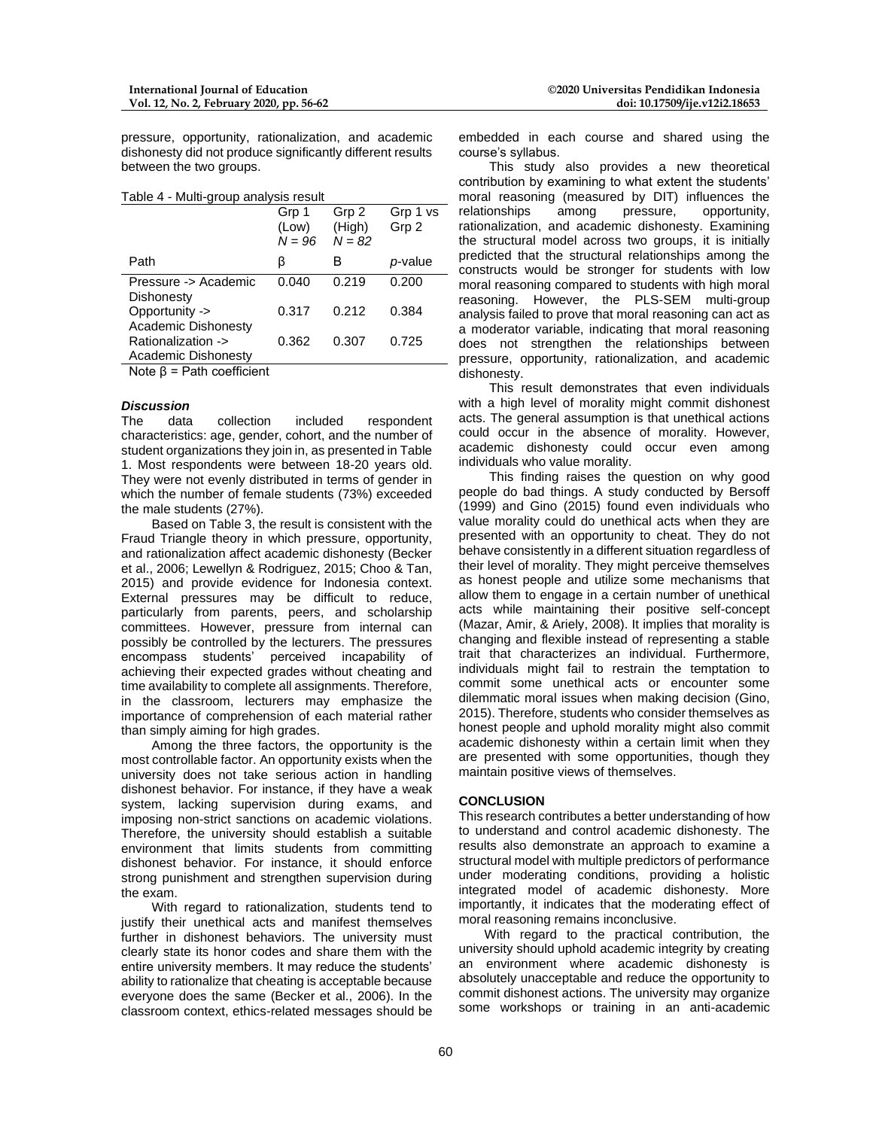pressure, opportunity, rationalization, and academic dishonesty did not produce significantly different results between the two groups.

Table 4 - Multi-group analysis result

|                                           | Grp 1<br>(Low)<br>$N = 96$ | Grp 2<br>(High)<br>$N = 82$ | Grp 1 vs<br>Grp 2 |
|-------------------------------------------|----------------------------|-----------------------------|-------------------|
| Path                                      | β                          | в                           | p-value           |
| Pressure -> Academic<br>Dishonesty        | 0.040                      | 0.219                       | 0.200             |
| Opportunity -><br>Academic Dishonesty     | 0.317                      | 0.212                       | 0.384             |
| Rationalization -><br>Academic Dishonesty | 0.362                      | 0.307                       | 0.725             |

Note β = Path coefficient

#### *Discussion*

The data collection included respondent characteristics: age, gender, cohort, and the number of student organizations they join in, as presented in Table 1. Most respondents were between 18-20 years old. They were not evenly distributed in terms of gender in which the number of female students (73%) exceeded the male students (27%).

Based on Table 3, the result is consistent with the Fraud Triangle theory in which pressure, opportunity, and rationalization affect academic dishonesty (Becker et al., 2006; Lewellyn & Rodriguez, 2015; Choo & Tan, 2015) and provide evidence for Indonesia context. External pressures may be difficult to reduce, particularly from parents, peers, and scholarship committees. However, pressure from internal can possibly be controlled by the lecturers. The pressures encompass students' perceived incapability of achieving their expected grades without cheating and time availability to complete all assignments. Therefore, in the classroom, lecturers may emphasize the importance of comprehension of each material rather than simply aiming for high grades.

Among the three factors, the opportunity is the most controllable factor. An opportunity exists when the university does not take serious action in handling dishonest behavior. For instance, if they have a weak system, lacking supervision during exams, and imposing non-strict sanctions on academic violations. Therefore, the university should establish a suitable environment that limits students from committing dishonest behavior. For instance, it should enforce strong punishment and strengthen supervision during the exam.

With regard to rationalization, students tend to justify their unethical acts and manifest themselves further in dishonest behaviors. The university must clearly state its honor codes and share them with the entire university members. It may reduce the students' ability to rationalize that cheating is acceptable because everyone does the same (Becker et al., 2006). In the classroom context, ethics-related messages should be

embedded in each course and shared using the course's syllabus.

This study also provides a new theoretical contribution by examining to what extent the students' moral reasoning (measured by DIT) influences the relationships among pressure, opportunity. relationships rationalization, and academic dishonesty. Examining the structural model across two groups, it is initially predicted that the structural relationships among the constructs would be stronger for students with low moral reasoning compared to students with high moral reasoning. However, the PLS-SEM multi-group analysis failed to prove that moral reasoning can act as a moderator variable, indicating that moral reasoning does not strengthen the relationships between pressure, opportunity, rationalization, and academic dishonesty.

This result demonstrates that even individuals with a high level of morality might commit dishonest acts. The general assumption is that unethical actions could occur in the absence of morality. However, academic dishonesty could occur even among individuals who value morality.

This finding raises the question on why good people do bad things. A study conducted by Bersoff (1999) and Gino (2015) found even individuals who value morality could do unethical acts when they are presented with an opportunity to cheat. They do not behave consistently in a different situation regardless of their level of morality. They might perceive themselves as honest people and utilize some mechanisms that allow them to engage in a certain number of unethical acts while maintaining their positive self-concept (Mazar, Amir, & Ariely, 2008). It implies that morality is changing and flexible instead of representing a stable trait that characterizes an individual. Furthermore, individuals might fail to restrain the temptation to commit some unethical acts or encounter some dilemmatic moral issues when making decision (Gino, 2015). Therefore, students who consider themselves as honest people and uphold morality might also commit academic dishonesty within a certain limit when they are presented with some opportunities, though they maintain positive views of themselves.

#### **CONCLUSION**

This research contributes a better understanding of how to understand and control academic dishonesty. The results also demonstrate an approach to examine a structural model with multiple predictors of performance under moderating conditions, providing a holistic integrated model of academic dishonesty. More importantly, it indicates that the moderating effect of moral reasoning remains inconclusive.

With regard to the practical contribution, the university should uphold academic integrity by creating an environment where academic dishonesty is absolutely unacceptable and reduce the opportunity to commit dishonest actions. The university may organize some workshops or training in an anti-academic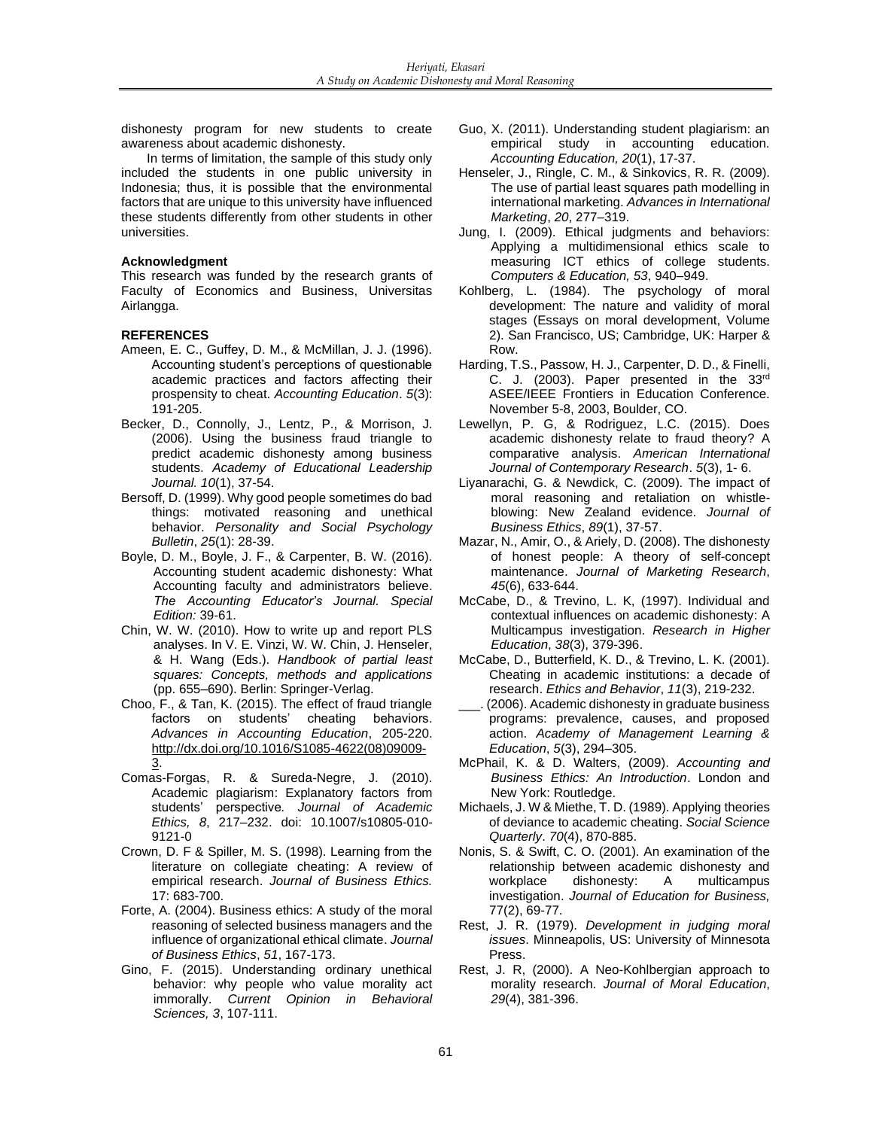dishonesty program for new students to create awareness about academic dishonesty.

In terms of limitation, the sample of this study only included the students in one public university in Indonesia; thus, it is possible that the environmental factors that are unique to this university have influenced these students differently from other students in other universities.

## **Acknowledgment**

This research was funded by the research grants of Faculty of Economics and Business, Universitas Airlangga.

# **REFERENCES**

- Ameen, E. C., Guffey, D. M., & McMillan, J. J. (1996). Accounting student's perceptions of questionable academic practices and factors affecting their prospensity to cheat. *Accounting Education*. *5*(3): 191-205.
- Becker, D., Connolly, J., Lentz, P., & Morrison, J. (2006). Using the business fraud triangle to predict academic dishonesty among business students. *Academy of Educational Leadership Journal. 10*(1), 37-54.
- Bersoff, D. (1999). Why good people sometimes do bad things: motivated reasoning and unethical behavior. *Personality and Social Psychology Bulletin*, *25*(1): 28-39.
- Boyle, D. M., Boyle, J. F., & Carpenter, B. W. (2016). Accounting student academic dishonesty: What Accounting faculty and administrators believe. *The Accounting Educator's Journal. Special Edition:* 39-61.
- Chin, W. W. (2010). How to write up and report PLS analyses. In V. E. Vinzi, W. W. Chin, J. Henseler, & H. Wang (Eds.). *Handbook of partial least squares: Concepts, methods and applications* (pp. 655–690). Berlin: Springer-Verlag.
- Choo, F., & Tan, K. (2015). The effect of fraud triangle factors on students' cheating behaviors. *Advances in Accounting Education*, 205-220. [http://dx.doi.org/10.1016/S1085-4622\(08\)09009-](http://dx.doi.org/10.1016/S1085-4622(08)09009-3) [3.](http://dx.doi.org/10.1016/S1085-4622(08)09009-3)
- Comas-Forgas, R. & Sureda-Negre, J. (2010). Academic plagiarism: Explanatory factors from students' perspective*. Journal of Academic Ethics, 8*, 217–232. doi: 10.1007/s10805-010- 9121-0
- Crown, D. F & Spiller, M. S. (1998). Learning from the literature on collegiate cheating: A review of empirical research. *Journal of Business Ethics.*  17: 683-700.
- Forte, A. (2004). Business ethics: A study of the moral reasoning of selected business managers and the influence of organizational ethical climate. *Journal of Business Ethics*, *51*, 167-173.
- Gino, F. (2015). Understanding ordinary unethical behavior: why people who value morality act immorally. *Current Opinion in Behavioral Sciences, 3*, 107-111.
- Guo, X. (2011). Understanding student plagiarism: an empirical study in accounting education. *Accounting Education, 20*(1), 17-37.
- Henseler, J., Ringle, C. M., & Sinkovics, R. R. (2009). The use of partial least squares path modelling in international marketing. *Advances in International Marketing*, *20*, 277–319.
- Jung, I. (2009). Ethical judgments and behaviors: Applying a multidimensional ethics scale to measuring ICT ethics of college students. *Computers & Education, 53*, 940–949.
- Kohlberg, L. (1984). The psychology of moral development: The nature and validity of moral stages (Essays on moral development, Volume 2). San Francisco, US; Cambridge, UK: Harper & Row.
- Harding, T.S., Passow, H. J., Carpenter, D. D., & Finelli, C. J. (2003). Paper presented in the 33rd ASEE/IEEE Frontiers in Education Conference. November 5-8, 2003, Boulder, CO.
- Lewellyn, P. G, & Rodriguez, L.C. (2015). Does academic dishonesty relate to fraud theory? A comparative analysis. *American International Journal of Contemporary Research*. *5*(3), 1- 6.
- Liyanarachi, G. & Newdick, C. (2009). The impact of moral reasoning and retaliation on whistleblowing: New Zealand evidence. *Journal of Business Ethics*, *89*(1), 37-57.
- Mazar, N., Amir, O., & Ariely, D. (2008). The dishonesty of honest people: A theory of self-concept maintenance. *Journal of Marketing Research*, *45*(6), 633-644.
- McCabe, D., & Trevino, L. K, (1997). Individual and contextual influences on academic dishonesty: A Multicampus investigation. *Research in Higher Education*, *38*(3), 379-396.
- McCabe, D., Butterfield, K. D., & Trevino, L. K. (2001). Cheating in academic institutions: a decade of research. *Ethics and Behavior*, *11*(3), 219-232.
- (2006). Academic dishonesty in graduate business programs: prevalence, causes, and proposed action. *Academy of Management Learning & Education*, *5*(3), 294–305.
- McPhail, K. & D. Walters, (2009). *Accounting and Business Ethics: An Introduction*. London and New York: Routledge.
- Michaels, J. W & Miethe, T. D. (1989). Applying theories of deviance to academic cheating. *Social Science Quarterly*. *70*(4), 870-885.
- Nonis, S. & Swift, C. O. (2001). An examination of the relationship between academic dishonesty and workplace dishonesty: A multicampus investigation. *Journal of Education for Business,*  77(2), 69-77.
- Rest, J. R. (1979). *Development in judging moral issues*. Minneapolis, US: University of Minnesota Press.
- Rest, J. R, (2000). A Neo-Kohlbergian approach to morality research. *Journal of Moral Education*, *29*(4), 381-396.